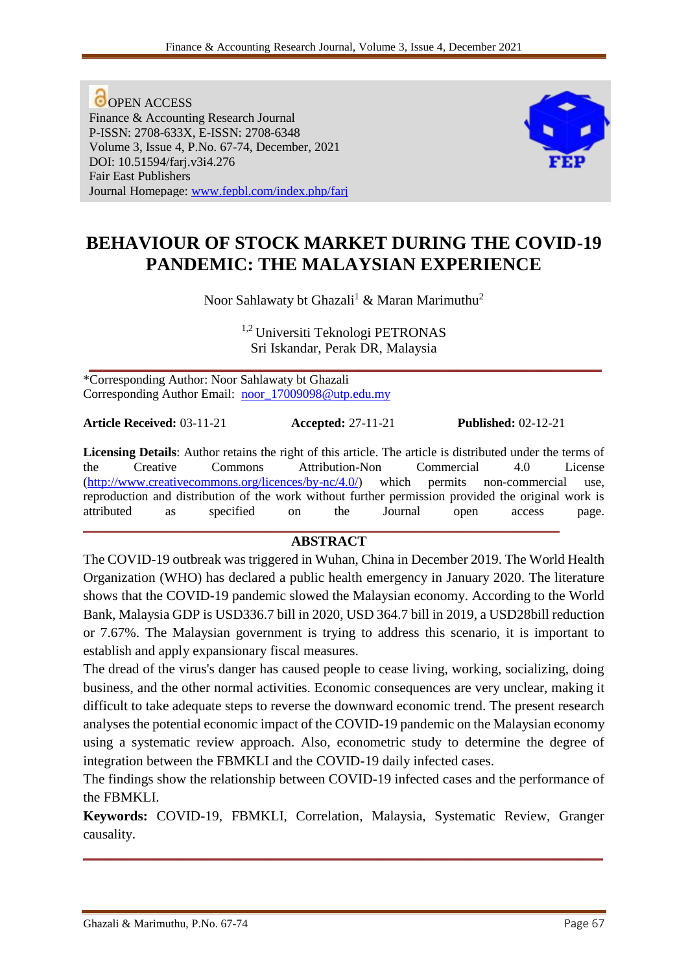**O**OPEN ACCESS Finance & Accounting Research Journal P-ISSN: 2708-633X, E-ISSN: 2708-6348 Volume 3, Issue 4, P.No. 67-74, December, 2021 DOI: 10.51594/farj.v3i4.276 Fair East Publishers Journal Homepage: [www.fepbl.com/index.php/farj](http://www.fepbl.com/index.php/farj)



# **BEHAVIOUR OF STOCK MARKET DURING THE COVID-19 PANDEMIC: THE MALAYSIAN EXPERIENCE**

Noor Sahlawaty bt Ghazali<sup>1</sup> & Maran Marimuthu<sup>2</sup>

1,2 Universiti Teknologi PETRONAS Sri Iskandar, Perak DR, Malaysia

**\_\_\_\_\_\_\_\_\_\_\_\_\_\_\_\_\_\_\_\_\_\_\_\_\_\_\_\_\_\_\_\_\_\_\_\_\_\_\_\_\_\_\_\_\_\_\_\_\_\_\_\_\_\_\_\_\_\_\_\_\_\_\_\_\_\_\_\_\_\_\_\_\_\_** \*Corresponding Author: Noor Sahlawaty bt Ghazali Corresponding Author Email: [noor\\_17009098@utp.edu.my](mailto:noor_17009098@utp.edu.my)

**Article Received:** 03-11-21 **Accepted:** 27-11-21 **Published:** 02-12-21

**Licensing Details**: Author retains the right of this article. The article is distributed under the terms of the Creative Commons Attribution-Non Commercial 4.0 License [\(http://www.creativecommons.org/licences/by-nc/4.0/\)](http://www.creativecommons.org/licences/by-nc/4.0/) which permits non-commercial use, reproduction and distribution of the work without further permission provided the original work is attributed as specified on the Journal open access page. **\_\_\_\_\_\_\_\_\_\_\_\_\_\_\_\_\_\_\_\_\_\_\_\_\_\_\_\_\_\_\_\_\_\_\_\_\_\_\_\_\_\_\_\_\_\_\_\_\_\_\_\_\_\_\_\_\_\_\_\_\_\_\_\_\_\_\_\_\_\_\_\_\_\_\_**

#### **ABSTRACT**

The COVID-19 outbreak was triggered in Wuhan, China in December 2019. The World Health Organization (WHO) has declared a public health emergency in January 2020. The literature shows that the COVID-19 pandemic slowed the Malaysian economy. According to the World Bank, Malaysia GDP is USD336.7 bill in 2020, USD 364.7 bill in 2019, a USD28bill reduction or 7.67%. The Malaysian government is trying to address this scenario, it is important to establish and apply expansionary fiscal measures.

The dread of the virus's danger has caused people to cease living, working, socializing, doing business, and the other normal activities. Economic consequences are very unclear, making it difficult to take adequate steps to reverse the downward economic trend. The present research analyses the potential economic impact of the COVID-19 pandemic on the Malaysian economy using a systematic review approach. Also, econometric study to determine the degree of integration between the FBMKLI and the COVID-19 daily infected cases.

The findings show the relationship between COVID-19 infected cases and the performance of the FBMKLI.

**Keywords:** COVID-19, FBMKLI, Correlation, Malaysia, Systematic Review, Granger causality.

**\_\_\_\_\_\_\_\_\_\_\_\_\_\_\_\_\_\_\_\_\_\_\_\_\_\_\_\_\_\_\_\_\_\_\_\_\_\_\_\_\_\_\_\_\_\_\_\_\_\_\_\_\_\_\_\_\_\_\_\_\_\_\_\_\_\_\_\_\_\_\_\_\_\_\_**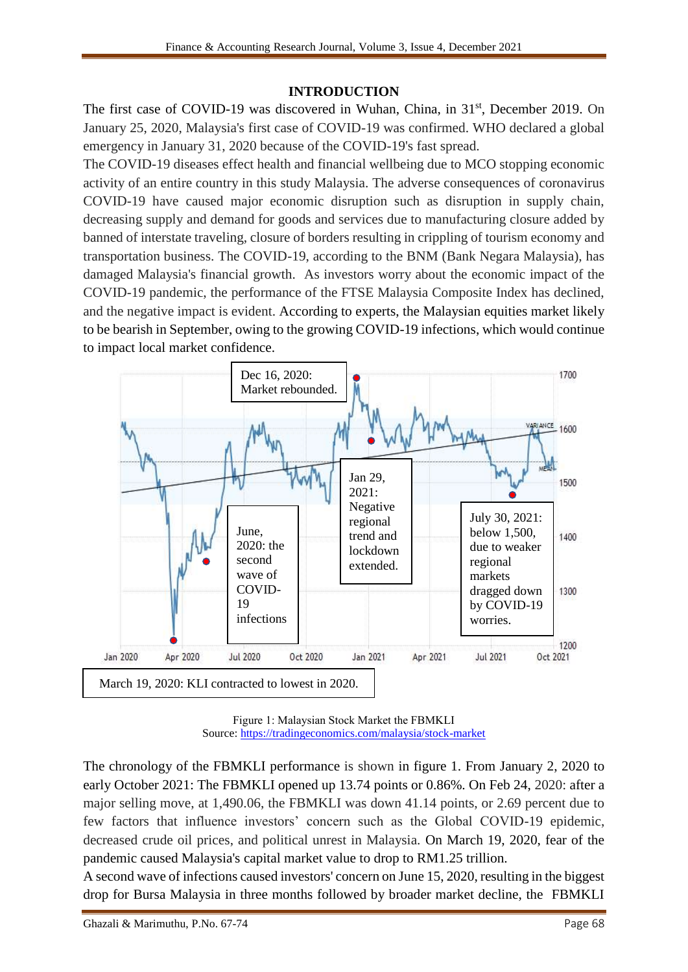#### **INTRODUCTION**

The first case of COVID-19 was discovered in Wuhan, China, in 31<sup>st</sup>, December 2019. On January 25, 2020, Malaysia's first case of COVID-19 was confirmed. WHO declared a global emergency in January 31, 2020 because of the COVID-19's fast spread.

The COVID-19 diseases effect health and financial wellbeing due to MCO stopping economic activity of an entire country in this study Malaysia. The adverse consequences of coronavirus COVID-19 have caused major economic disruption such as disruption in supply chain, decreasing supply and demand for goods and services due to manufacturing closure added by banned of interstate traveling, closure of borders resulting in crippling of tourism economy and transportation business. The COVID-19, according to the BNM (Bank Negara Malaysia), has damaged Malaysia's financial growth. As investors worry about the economic impact of the COVID-19 pandemic, the performance of the FTSE Malaysia Composite Index has declined, and the negative impact is evident. According to experts, the Malaysian equities market likely to be bearish in September, owing to the growing COVID-19 infections, which would continue to impact local market confidence.



Figure 1: Malaysian Stock Market the FBMKLI Source:<https://tradingeconomics.com/malaysia/stock-market>

The chronology of the FBMKLI performance is shown in figure 1. From January 2, 2020 to early October 2021: The FBMKLI opened up 13.74 points or 0.86%. On Feb 24, 2020: after a major selling move, at 1,490.06, the FBMKLI was down 41.14 points, or 2.69 percent due to few factors that influence investors' concern such as the Global COVID-19 epidemic, decreased crude oil prices, and political unrest in Malaysia. On March 19, 2020, fear of the pandemic caused Malaysia's capital market value to drop to RM1.25 trillion.

A second wave of infections caused investors' concern on June 15, 2020, resulting in the biggest drop for Bursa Malaysia in three months followed by broader market decline, the FBMKLI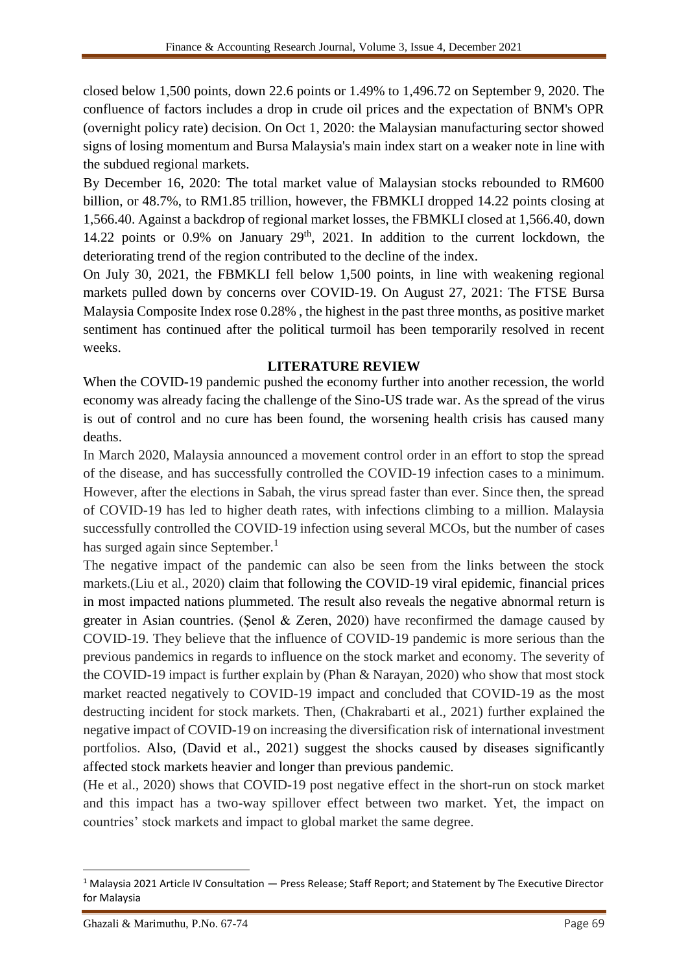closed below 1,500 points, down 22.6 points or 1.49% to 1,496.72 on September 9, 2020. The confluence of factors includes a drop in crude oil prices and the expectation of BNM's OPR (overnight policy rate) decision. On Oct 1, 2020: the Malaysian manufacturing sector showed signs of losing momentum and Bursa Malaysia's main index start on a weaker note in line with the subdued regional markets.

By December 16, 2020: The total market value of Malaysian stocks rebounded to RM600 billion, or 48.7%, to RM1.85 trillion, however, the FBMKLI dropped 14.22 points closing at 1,566.40. Against a backdrop of regional market losses, the FBMKLI closed at 1,566.40, down 14.22 points or  $0.9\%$  on January  $29<sup>th</sup>$ , 2021. In addition to the current lockdown, the deteriorating trend of the region contributed to the decline of the index.

On July 30, 2021, the FBMKLI fell below 1,500 points, in line with weakening regional markets pulled down by concerns over COVID-19. On August 27, 2021: The FTSE Bursa Malaysia Composite Index rose 0.28% , the highest in the past three months, as positive market sentiment has continued after the political turmoil has been temporarily resolved in recent weeks.

#### **LITERATURE REVIEW**

When the COVID-19 pandemic pushed the economy further into another recession, the world economy was already facing the challenge of the Sino-US trade war. As the spread of the virus is out of control and no cure has been found, the worsening health crisis has caused many deaths.

In March 2020, Malaysia announced a movement control order in an effort to stop the spread of the disease, and has successfully controlled the COVID-19 infection cases to a minimum. However, after the elections in Sabah, the virus spread faster than ever. Since then, the spread of COVID-19 has led to higher death rates, with infections climbing to a million. Malaysia successfully controlled the COVID-19 infection using several MCOs, but the number of cases has surged again since September.<sup>1</sup>

The negative impact of the pandemic can also be seen from the links between the stock markets.(Liu et al., 2020) claim that following the COVID-19 viral epidemic, financial prices in most impacted nations plummeted. The result also reveals the negative abnormal return is greater in Asian countries. (Şenol & Zeren, 2020) have reconfirmed the damage caused by COVID-19. They believe that the influence of COVID-19 pandemic is more serious than the previous pandemics in regards to influence on the stock market and economy. The severity of the COVID-19 impact is further explain by (Phan & Narayan, 2020) who show that most stock market reacted negatively to COVID-19 impact and concluded that COVID-19 as the most destructing incident for stock markets. Then, (Chakrabarti et al., 2021) further explained the negative impact of COVID-19 on increasing the diversification risk of international investment portfolios. Also, (David et al., 2021) suggest the shocks caused by diseases significantly affected stock markets heavier and longer than previous pandemic.

(He et al., 2020) shows that COVID-19 post negative effect in the short-run on stock market and this impact has a two-way spillover effect between two market. Yet, the impact on countries' stock markets and impact to global market the same degree.

1

<sup>1</sup> Malaysia 2021 Article IV Consultation — Press Release; Staff Report; and Statement by The Executive Director for Malaysia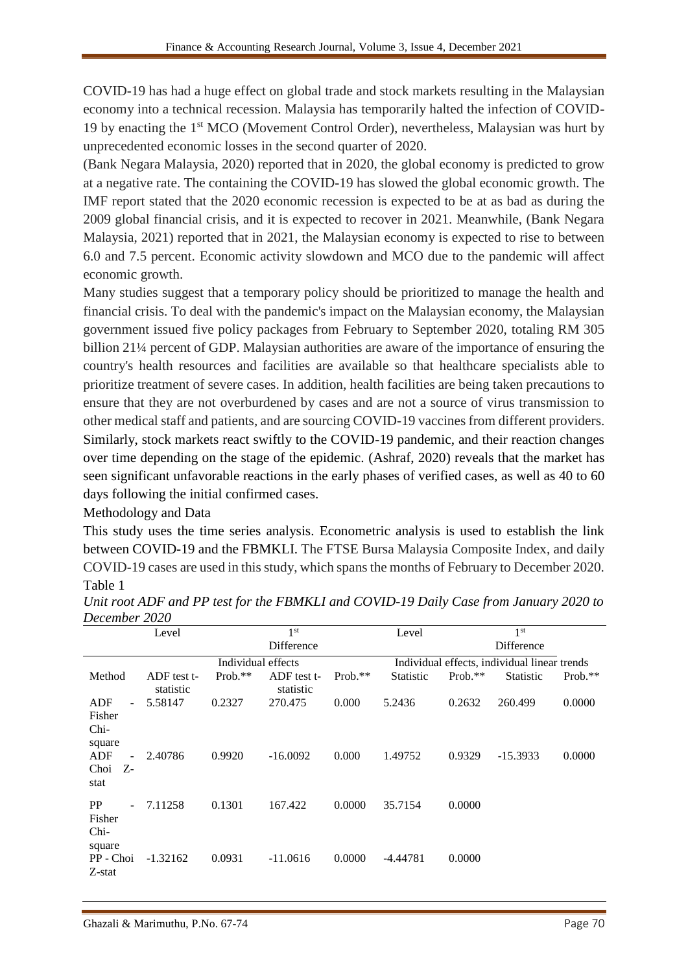COVID-19 has had a huge effect on global trade and stock markets resulting in the Malaysian economy into a technical recession. Malaysia has temporarily halted the infection of COVID-19 by enacting the 1st MCO (Movement Control Order), nevertheless, Malaysian was hurt by unprecedented economic losses in the second quarter of 2020.

(Bank Negara Malaysia, 2020) reported that in 2020, the global economy is predicted to grow at a negative rate. The containing the COVID-19 has slowed the global economic growth. The IMF report stated that the 2020 economic recession is expected to be at as bad as during the 2009 global financial crisis, and it is expected to recover in 2021. Meanwhile, (Bank Negara Malaysia, 2021) reported that in 2021, the Malaysian economy is expected to rise to between 6.0 and 7.5 percent. Economic activity slowdown and MCO due to the pandemic will affect economic growth.

Many studies suggest that a temporary policy should be prioritized to manage the health and financial crisis. To deal with the pandemic's impact on the Malaysian economy, the Malaysian government issued five policy packages from February to September 2020, totaling RM 305 billion 21¼ percent of GDP. Malaysian authorities are aware of the importance of ensuring the country's health resources and facilities are available so that healthcare specialists able to prioritize treatment of severe cases. In addition, health facilities are being taken precautions to ensure that they are not overburdened by cases and are not a source of virus transmission to other medical staff and patients, and are sourcing COVID-19 vaccines from different providers. Similarly, stock markets react swiftly to the COVID-19 pandemic, and their reaction changes over time depending on the stage of the epidemic. (Ashraf, 2020) reveals that the market has seen significant unfavorable reactions in the early phases of verified cases, as well as 40 to 60 days following the initial confirmed cases.

Methodology and Data

This study uses the time series analysis. Econometric analysis is used to establish the link between COVID-19 and the FBMKLI. The FTSE Bursa Malaysia Composite Index, and daily COVID-19 cases are used in this study, which spans the months of February to December 2020. Table 1

|                                 | Level                    |                    | 1 <sup>st</sup>          |           | Level                                        |           | 1 <sup>st</sup>  |            |
|---------------------------------|--------------------------|--------------------|--------------------------|-----------|----------------------------------------------|-----------|------------------|------------|
|                                 |                          |                    | Difference               |           |                                              |           | Difference       |            |
|                                 |                          | Individual effects |                          |           | Individual effects, individual linear trends |           |                  |            |
| Method                          | ADF test t-<br>statistic | $Prob.**$          | ADF test t-<br>statistic | $Prob.**$ | <b>Statistic</b>                             | $Prob.**$ | <b>Statistic</b> | Prob. $**$ |
| ADF<br>÷                        | 5.58147                  | 0.2327             | 270.475                  | 0.000     | 5.2436                                       | 0.2632    | 260.499          | 0.0000     |
| Fisher<br>Chi-<br>square        |                          |                    |                          |           |                                              |           |                  |            |
| ADF<br>L.<br>Choi<br>Z-<br>stat | 2.40786                  | 0.9920             | $-16.0092$               | 0.000     | 1.49752                                      | 0.9329    | $-15.3933$       | 0.0000     |
| PP<br>Fisher<br>Chi-            | 7.11258                  | 0.1301             | 167.422                  | 0.0000    | 35.7154                                      | 0.0000    |                  |            |
| square<br>PP - Choi<br>Z-stat   | $-1.32162$               | 0.0931             | $-11.0616$               | 0.0000    | $-4.44781$                                   | 0.0000    |                  |            |

*Unit root ADF and PP test for the FBMKLI and COVID-19 Daily Case from January 2020 to December 2020*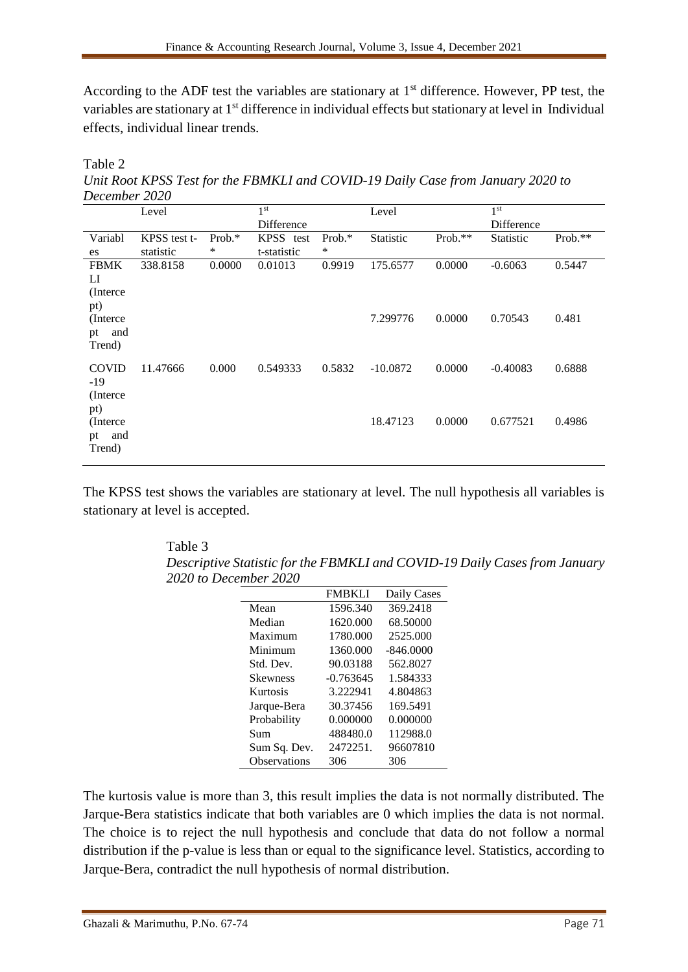According to the ADF test the variables are stationary at  $1<sup>st</sup>$  difference. However, PP test, the variables are stationary at 1<sup>st</sup> difference in individual effects but stationary at level in Individual effects, individual linear trends.

Table 2 *Unit Root KPSS Test for the FBMKLI and COVID-19 Daily Case from January 2020 to December 2020* 

|                                           | Level        |           | 1 <sup>st</sup> |           | Level            |           | 1 <sup>st</sup>  |         |
|-------------------------------------------|--------------|-----------|-----------------|-----------|------------------|-----------|------------------|---------|
|                                           |              |           | Difference      |           |                  |           | Difference       |         |
| Variabl                                   | KPSS test t- | Prob. $*$ | KPSS test       | Prob. $*$ | <b>Statistic</b> | $Prob.**$ | <b>Statistic</b> | Prob.** |
| es                                        | statistic    | ∗         | t-statistic     | $\ast$    |                  |           |                  |         |
| <b>FBMK</b><br>LI<br>(Interce)<br>pt)     | 338.8158     | 0.0000    | 0.01013         | 0.9919    | 175.6577         | 0.0000    | $-0.6063$        | 0.5447  |
| (Interce)<br>and<br>pt<br>Trend)          |              |           |                 |           | 7.299776         | 0.0000    | 0.70543          | 0.481   |
| <b>COVID</b><br>$-19$<br>(Interce)<br>pt) | 11.47666     | 0.000     | 0.549333        | 0.5832    | $-10.0872$       | 0.0000    | $-0.40083$       | 0.6888  |
| (Interce)<br>and<br>pt<br>Trend)          |              |           |                 |           | 18.47123         | 0.0000    | 0.677521         | 0.4986  |

The KPSS test shows the variables are stationary at level. The null hypothesis all variables is stationary at level is accepted.

Table 3 *Descriptive Statistic for the FBMKLI and COVID-19 Daily Cases from January 2020 to December 2020* 

|                 | <b>FMBKLI</b> | Daily Cases |
|-----------------|---------------|-------------|
| Mean            | 1596.340      | 369.2418    |
| Median          | 1620.000      | 68.50000    |
| Maximum         | 1780.000      | 2525.000    |
| Minimum         | 1360.000      | $-846,0000$ |
| Std. Dev.       | 90.03188      | 562.8027    |
| <b>Skewness</b> | $-0.763645$   | 1.584333    |
| Kurtosis        | 3.222941      | 4.804863    |
| Jarque-Bera     | 30.37456      | 169.5491    |
| Probability     | 0.000000      | 0.000000    |
| Sum             | 488480.0      | 112988.0    |
| Sum Sq. Dev.    | 2472251.      | 96607810    |
| Observations    | 306           | 306         |

The kurtosis value is more than 3, this result implies the data is not normally distributed. The Jarque-Bera statistics indicate that both variables are 0 which implies the data is not normal. The choice is to reject the null hypothesis and conclude that data do not follow a normal distribution if the p-value is less than or equal to the significance level. Statistics, according to Jarque-Bera, contradict the null hypothesis of normal distribution.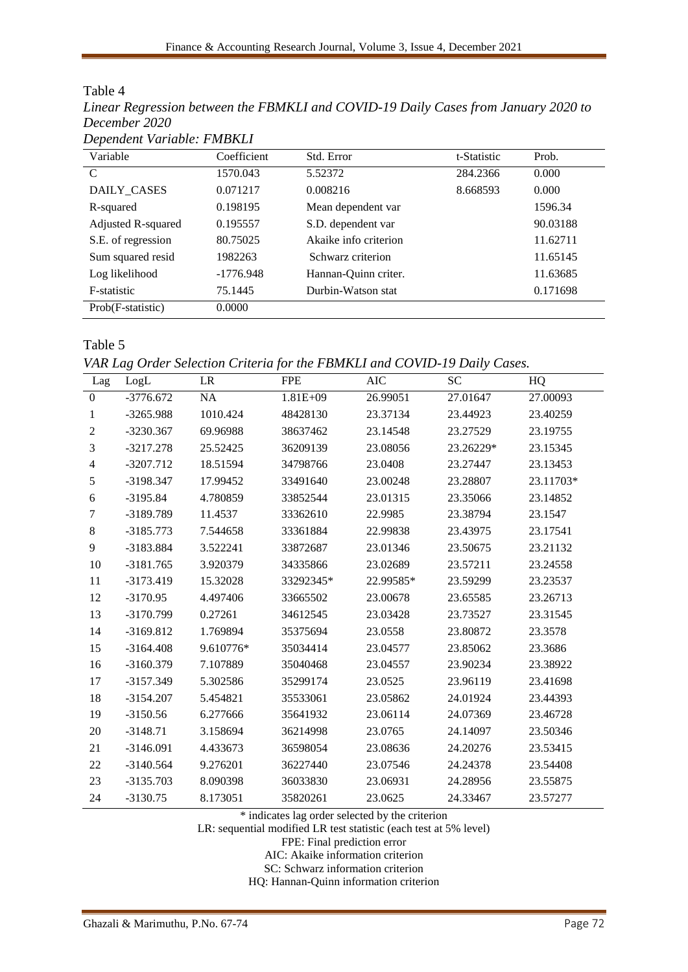| Dependent Variable: FMBKLI     |             |                       |             |          |  |
|--------------------------------|-------------|-----------------------|-------------|----------|--|
| Variable                       | Coefficient | Std. Error            | t-Statistic | Prob.    |  |
| $\mathcal{C}$                  | 1570.043    | 5.52372               | 284.2366    | 0.000    |  |
| DAILY_CASES                    | 0.071217    | 0.008216              | 8.668593    | 0.000    |  |
| R-squared                      | 0.198195    | Mean dependent var    |             | 1596.34  |  |
| Adjusted R-squared<br>0.195557 |             | S.D. dependent var    |             | 90.03188 |  |
| S.E. of regression             | 80.75025    | Akaike info criterion |             | 11.62711 |  |
| Sum squared resid              | 1982263     | Schwarz criterion     |             | 11.65145 |  |
| Log likelihood                 | $-1776.948$ | Hannan-Quinn criter.  |             | 11.63685 |  |
| F-statistic                    | 75.1445     | Durbin-Watson stat    |             | 0.171698 |  |
| Prob(F-statistic)              | 0.0000      |                       |             |          |  |

Table 4 *Linear Regression between the FBMKLI and COVID-19 Daily Cases from January 2020 to December 2020*

Table 5

*VAR Lag Order Selection Criteria for the FBMKLI and COVID-19 Daily Cases.* 

| Lag                      | LogL        | $\rm LR$  | <b>FPE</b>   | <b>AIC</b> | <b>SC</b> | HQ        |
|--------------------------|-------------|-----------|--------------|------------|-----------|-----------|
| $\boldsymbol{0}$         | $-3776.672$ | <b>NA</b> | $1.81E + 09$ | 26.99051   | 27.01647  | 27.00093  |
| 1                        | $-3265.988$ | 1010.424  | 48428130     | 23.37134   | 23.44923  | 23.40259  |
| 2                        | $-3230.367$ | 69.96988  | 38637462     | 23.14548   | 23.27529  | 23.19755  |
| 3                        | $-3217.278$ | 25.52425  | 36209139     | 23.08056   | 23.26229* | 23.15345  |
| $\overline{\mathcal{L}}$ | $-3207.712$ | 18.51594  | 34798766     | 23.0408    | 23.27447  | 23.13453  |
| 5                        | -3198.347   | 17.99452  | 33491640     | 23.00248   | 23.28807  | 23.11703* |
| 6                        | $-3195.84$  | 4.780859  | 33852544     | 23.01315   | 23.35066  | 23.14852  |
| 7                        | -3189.789   | 11.4537   | 33362610     | 22.9985    | 23.38794  | 23.1547   |
| 8                        | $-3185.773$ | 7.544658  | 33361884     | 22.99838   | 23.43975  | 23.17541  |
| 9                        | -3183.884   | 3.522241  | 33872687     | 23.01346   | 23.50675  | 23.21132  |
| 10                       | $-3181.765$ | 3.920379  | 34335866     | 23.02689   | 23.57211  | 23.24558  |
| 11                       | $-3173.419$ | 15.32028  | 33292345*    | 22.99585*  | 23.59299  | 23.23537  |
| 12                       | $-3170.95$  | 4.497406  | 33665502     | 23.00678   | 23.65585  | 23.26713  |
| 13                       | -3170.799   | 0.27261   | 34612545     | 23.03428   | 23.73527  | 23.31545  |
| 14                       | $-3169.812$ | 1.769894  | 35375694     | 23.0558    | 23.80872  | 23.3578   |
| 15                       | $-3164.408$ | 9.610776* | 35034414     | 23.04577   | 23.85062  | 23.3686   |
| 16                       | $-3160.379$ | 7.107889  | 35040468     | 23.04557   | 23.90234  | 23.38922  |
| 17                       | $-3157.349$ | 5.302586  | 35299174     | 23.0525    | 23.96119  | 23.41698  |
| 18                       | $-3154.207$ | 5.454821  | 35533061     | 23.05862   | 24.01924  | 23.44393  |
| 19                       | $-3150.56$  | 6.277666  | 35641932     | 23.06114   | 24.07369  | 23.46728  |
| 20                       | $-3148.71$  | 3.158694  | 36214998     | 23.0765    | 24.14097  | 23.50346  |
| 21                       | $-3146.091$ | 4.433673  | 36598054     | 23.08636   | 24.20276  | 23.53415  |
| 22                       | $-3140.564$ | 9.276201  | 36227440     | 23.07546   | 24.24378  | 23.54408  |
| 23                       | $-3135.703$ | 8.090398  | 36033830     | 23.06931   | 24.28956  | 23.55875  |
| 24                       | $-3130.75$  | 8.173051  | 35820261     | 23.0625    | 24.33467  | 23.57277  |

\* indicates lag order selected by the criterion

LR: sequential modified LR test statistic (each test at 5% level)

FPE: Final prediction error

AIC: Akaike information criterion

SC: Schwarz information criterion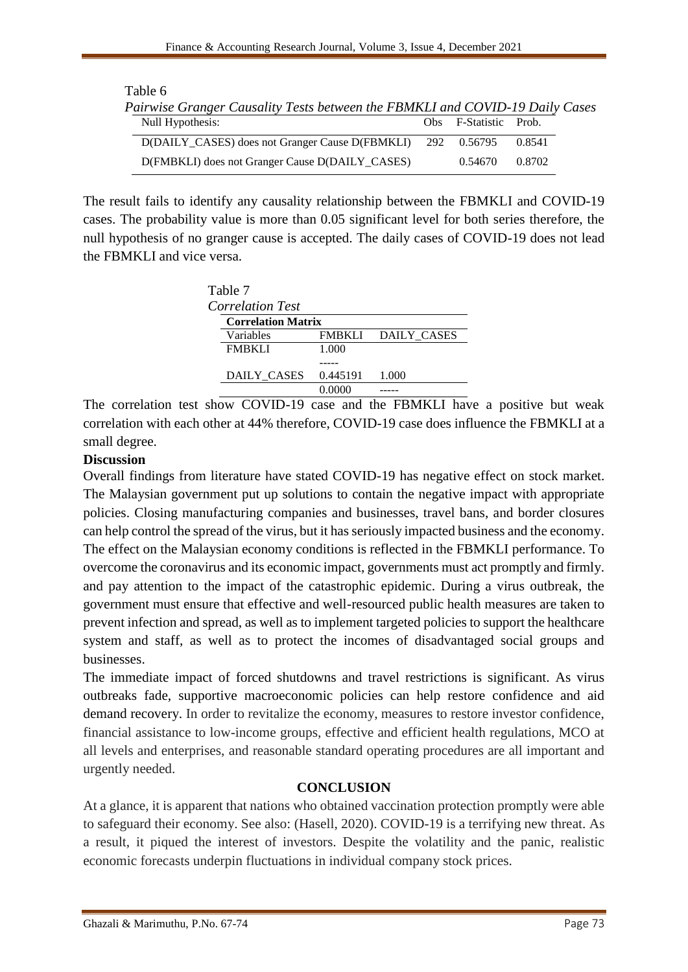| Table 6<br>Pairwise Granger Causality Tests between the FBMKLI and COVID-19 Daily Cases |                       |        |
|-----------------------------------------------------------------------------------------|-----------------------|--------|
| Null Hypothesis:                                                                        | Obs F-Statistic Prob. |        |
| D(DAILY_CASES) does not Granger Cause D(FBMKLI) 292 0.56795                             |                       | 0.8541 |
| D(FMBKLI) does not Granger Cause D(DAILY_CASES)                                         | 0.54670               | 0.8702 |

The result fails to identify any causality relationship between the FBMKLI and COVID-19 cases. The probability value is more than 0.05 significant level for both series therefore, the null hypothesis of no granger cause is accepted. The daily cases of COVID-19 does not lead the FBMKLI and vice versa.

| Table 7 |                           |          |             |  |  |  |  |
|---------|---------------------------|----------|-------------|--|--|--|--|
|         | <b>Correlation Test</b>   |          |             |  |  |  |  |
|         | <b>Correlation Matrix</b> |          |             |  |  |  |  |
|         | Variables                 | FMBKLI   | DAILY CASES |  |  |  |  |
|         | <b>FMBKLI</b>             | 1.000    |             |  |  |  |  |
|         |                           |          |             |  |  |  |  |
|         | DAILY_CASES               | 0.445191 | 1.000       |  |  |  |  |
|         |                           |          |             |  |  |  |  |

The correlation test show COVID-19 case and the FBMKLI have a positive but weak correlation with each other at 44% therefore, COVID-19 case does influence the FBMKLI at a small degree.

### **Discussion**

Overall findings from literature have stated COVID-19 has negative effect on stock market. The Malaysian government put up solutions to contain the negative impact with appropriate policies. Closing manufacturing companies and businesses, travel bans, and border closures can help control the spread of the virus, but it has seriously impacted business and the economy. The effect on the Malaysian economy conditions is reflected in the FBMKLI performance. To overcome the coronavirus and its economic impact, governments must act promptly and firmly. and pay attention to the impact of the catastrophic epidemic. During a virus outbreak, the government must ensure that effective and well-resourced public health measures are taken to prevent infection and spread, as well as to implement targeted policies to support the healthcare system and staff, as well as to protect the incomes of disadvantaged social groups and businesses.

The immediate impact of forced shutdowns and travel restrictions is significant. As virus outbreaks fade, supportive macroeconomic policies can help restore confidence and aid demand recovery. In order to revitalize the economy, measures to restore investor confidence, financial assistance to low-income groups, effective and efficient health regulations, MCO at all levels and enterprises, and reasonable standard operating procedures are all important and urgently needed.

## **CONCLUSION**

At a glance, it is apparent that nations who obtained vaccination protection promptly were able to safeguard their economy. See also: (Hasell, 2020). COVID-19 is a terrifying new threat. As a result, it piqued the interest of investors. Despite the volatility and the panic, realistic economic forecasts underpin fluctuations in individual company stock prices.